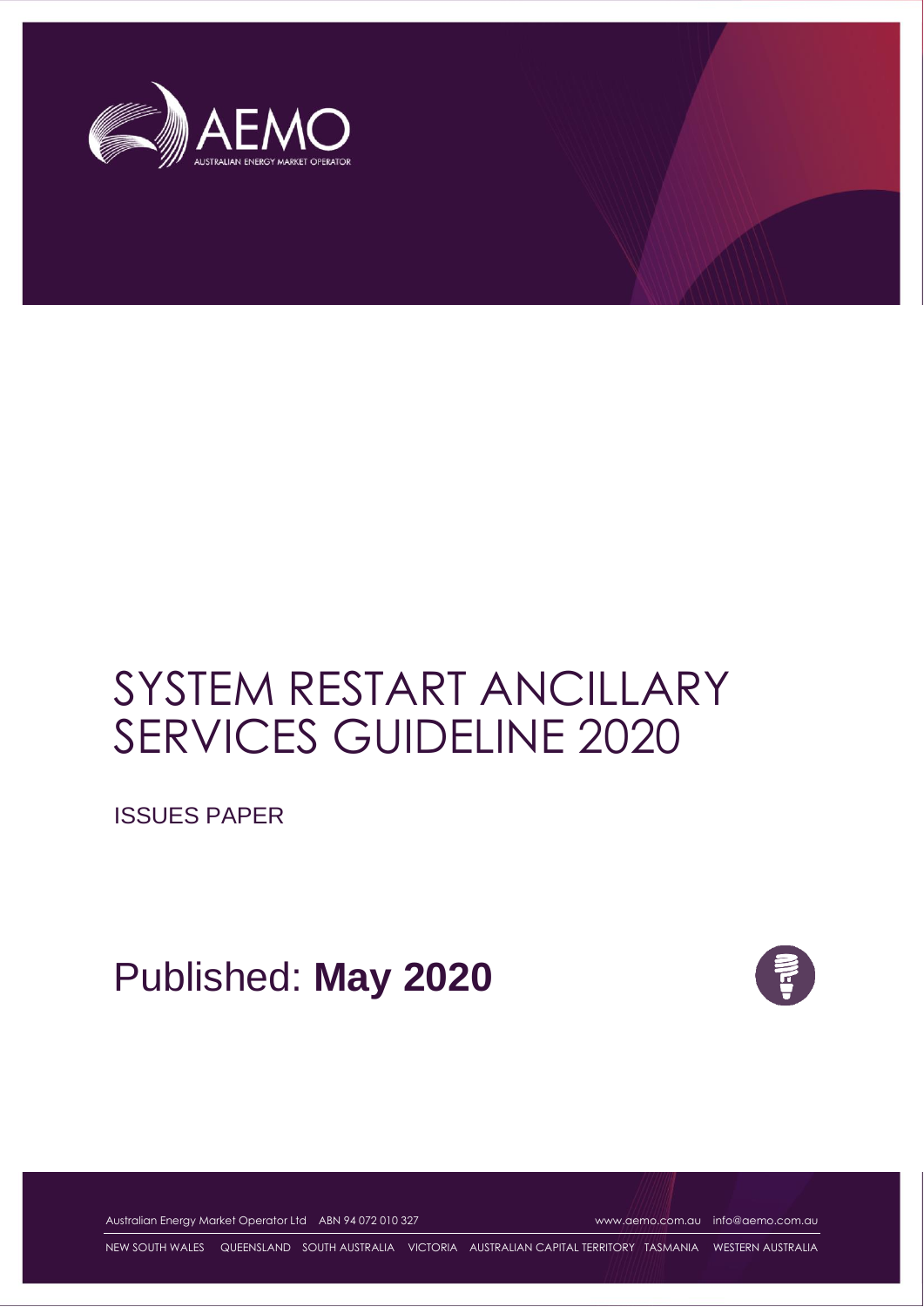

# SYSTEM RESTART ANCILLARY SERVICES GUIDELINE 2020

ISSUES PAPER

Published: **May 2020**



Australian Energy Market Operator Ltd ABN 94 072 010 327 [www.aemo.com.au](http://www.aemo.com.au/) [info@aemo.com.au](mailto:info@aemo.com.au)

NEW SOUTH WALES QUEENSLAND SOUTH AUSTRALIA VICTORIA AUSTRALIAN CAPITAL TERRITORY TASMANIA WESTERN AUSTRALIA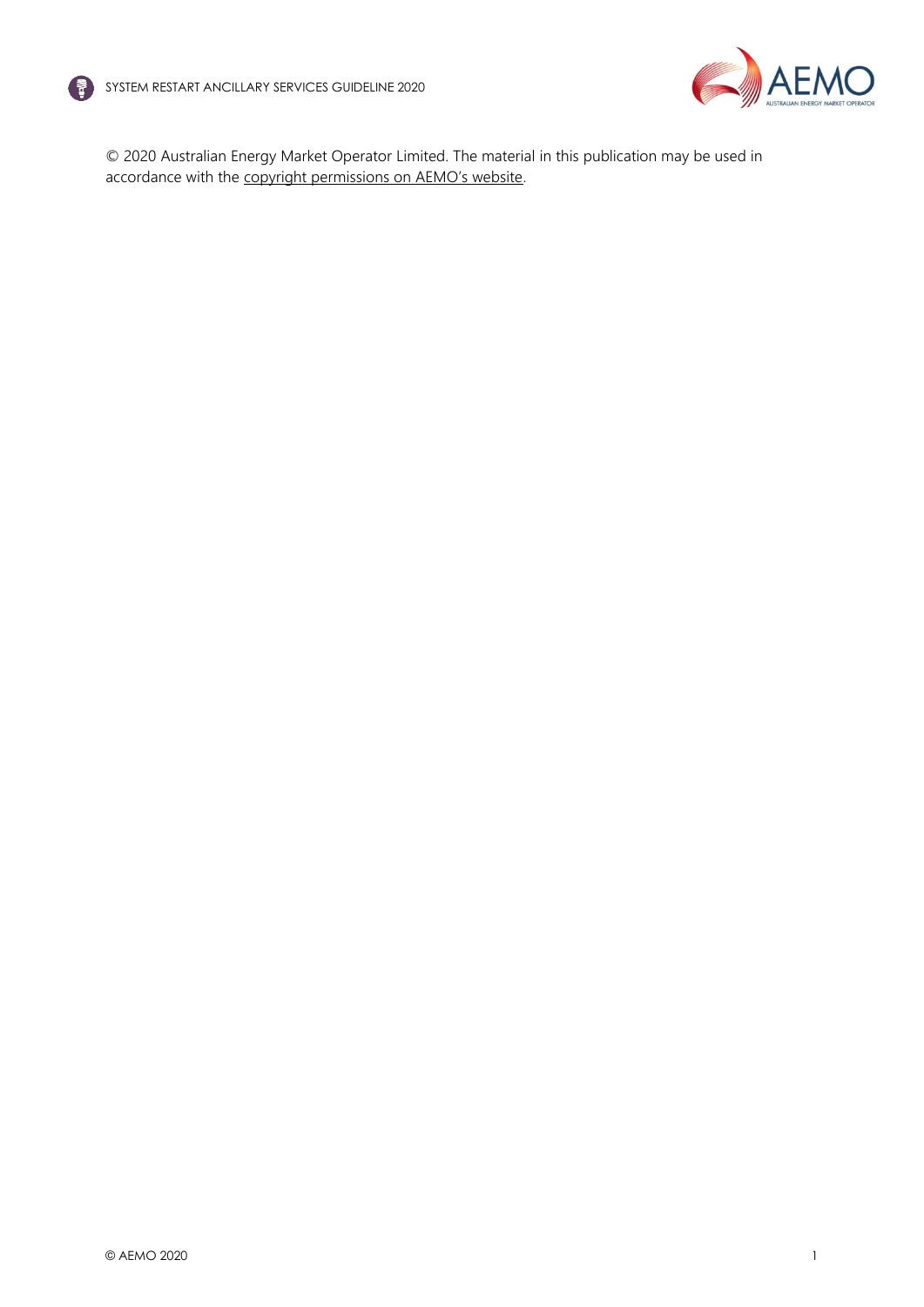



© 2020 Australian Energy Market Operator Limited. The material in this publication may be used in accordance with the [copyright permissions on AEMO's website](http://aemo.com.au/Privacy_and_Legal_Notices/Copyright_Permissions_Notice).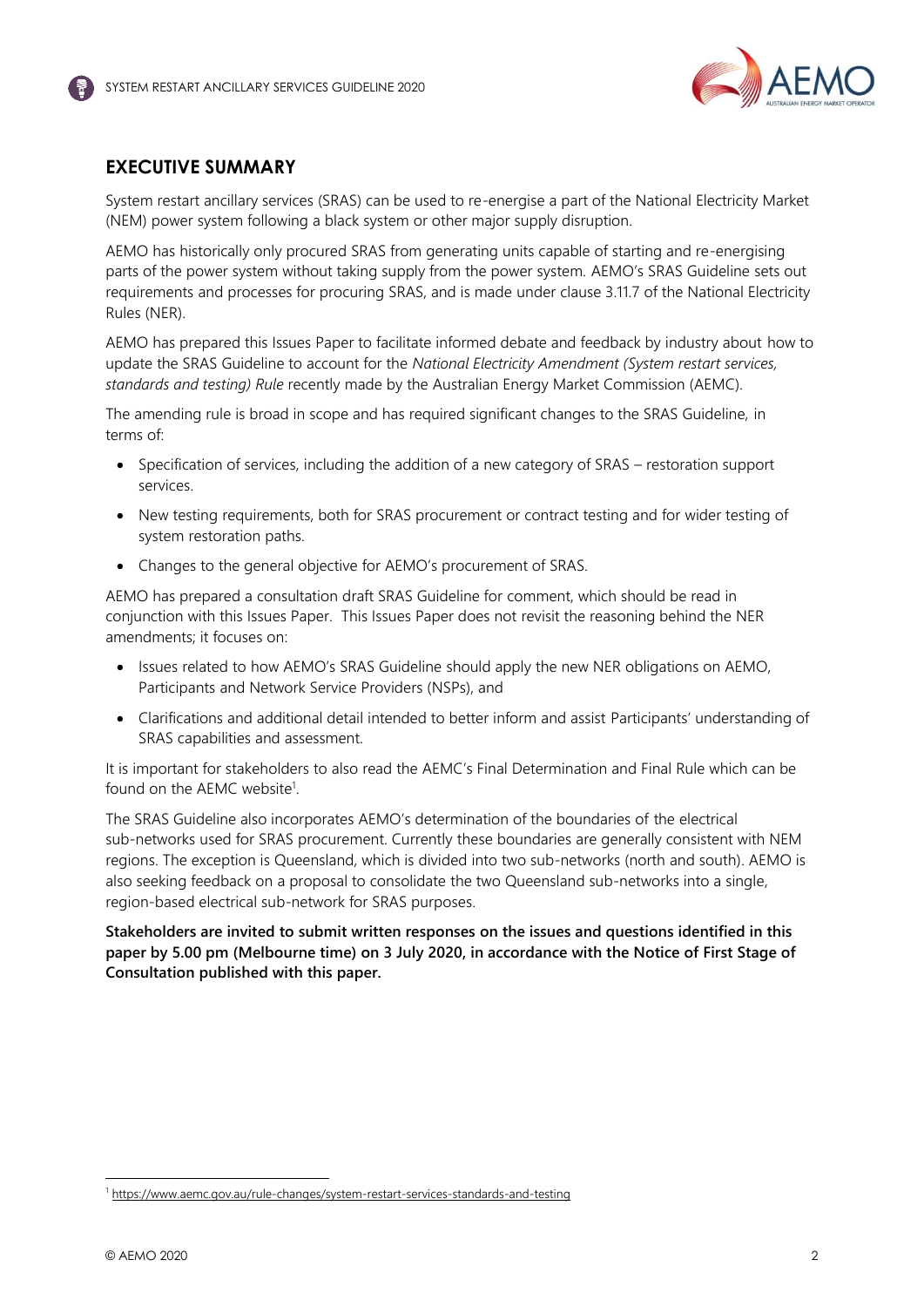

## <span id="page-2-0"></span>**EXECUTIVE SUMMARY**

System restart ancillary services (SRAS) can be used to re-energise a part of the National Electricity Market (NEM) power system following a black system or other major supply disruption.

AEMO has historically only procured SRAS from generating units capable of starting and re-energising parts of the power system without taking supply from the power system. AEMO's SRAS Guideline sets out requirements and processes for procuring SRAS, and is made under clause 3.11.7 of the National Electricity Rules (NER).

AEMO has prepared this Issues Paper to facilitate informed debate and feedback by industry about how to update the SRAS Guideline to account for the *National Electricity Amendment (System restart services, standards and testing) Rule* recently made by the Australian Energy Market Commission (AEMC).

The amending rule is broad in scope and has required significant changes to the SRAS Guideline, in terms of:

- Specification of services, including the addition of a new category of SRAS restoration support services.
- New testing requirements, both for SRAS procurement or contract testing and for wider testing of system restoration paths.
- Changes to the general objective for AEMO's procurement of SRAS.

AEMO has prepared a consultation draft SRAS Guideline for comment, which should be read in conjunction with this Issues Paper. This Issues Paper does not revisit the reasoning behind the NER amendments; it focuses on:

- Issues related to how AEMO's SRAS Guideline should apply the new NER obligations on AEMO, Participants and Network Service Providers (NSPs), and
- Clarifications and additional detail intended to better inform and assist Participants' understanding of SRAS capabilities and assessment.

It is important for stakeholders to also read the AEMC's Final Determination and Final Rule which can be found on the AEMC website<sup>1</sup>.

The SRAS Guideline also incorporates AEMO's determination of the boundaries of the electrical sub-networks used for SRAS procurement. Currently these boundaries are generally consistent with NEM regions. The exception is Queensland, which is divided into two sub-networks (north and south). AEMO is also seeking feedback on a proposal to consolidate the two Queensland sub-networks into a single, region-based electrical sub-network for SRAS purposes.

**Stakeholders are invited to submit written responses on the issues and questions identified in this paper by 5.00 pm (Melbourne time) on 3 July 2020, in accordance with the Notice of First Stage of Consultation published with this paper.** 

<sup>1</sup> <https://www.aemc.gov.au/rule-changes/system-restart-services-standards-and-testing>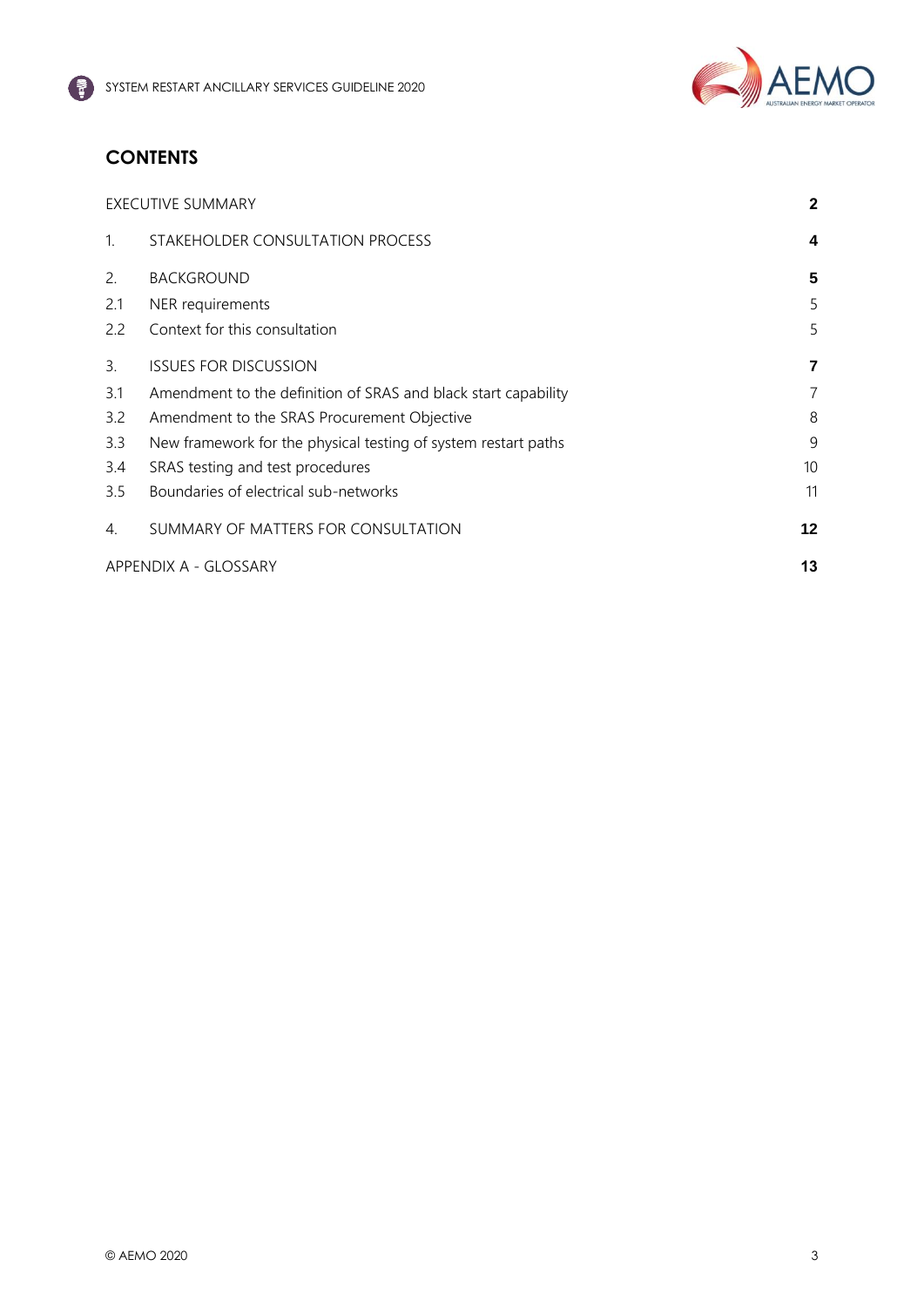

## **CONTENTS**

| <b>EXECUTIVE SUMMARY</b> |                                                                |         |
|--------------------------|----------------------------------------------------------------|---------|
| $\mathbf{1}$ .           | STAKEHOLDER CONSULTATION PROCESS                               | 4       |
| 2.                       | <b>BACKGROUND</b>                                              | 5       |
| 2.1                      | NER requirements                                               | 5       |
| 2.2                      | Context for this consultation                                  | 5       |
| 3.                       | <b>ISSUES FOR DISCUSSION</b>                                   | 7       |
| 3.1                      | Amendment to the definition of SRAS and black start capability | 7       |
| 3.2                      | Amendment to the SRAS Procurement Objective                    | 8       |
| 3.3                      | New framework for the physical testing of system restart paths | 9       |
| 3.4                      | SRAS testing and test procedures                               | 10      |
| 3.5                      | Boundaries of electrical sub-networks                          | 11      |
| 4.                       | SUMMARY OF MATTERS FOR CONSULTATION                            | $12 \,$ |
| APPENDIX A - GLOSSARY    |                                                                |         |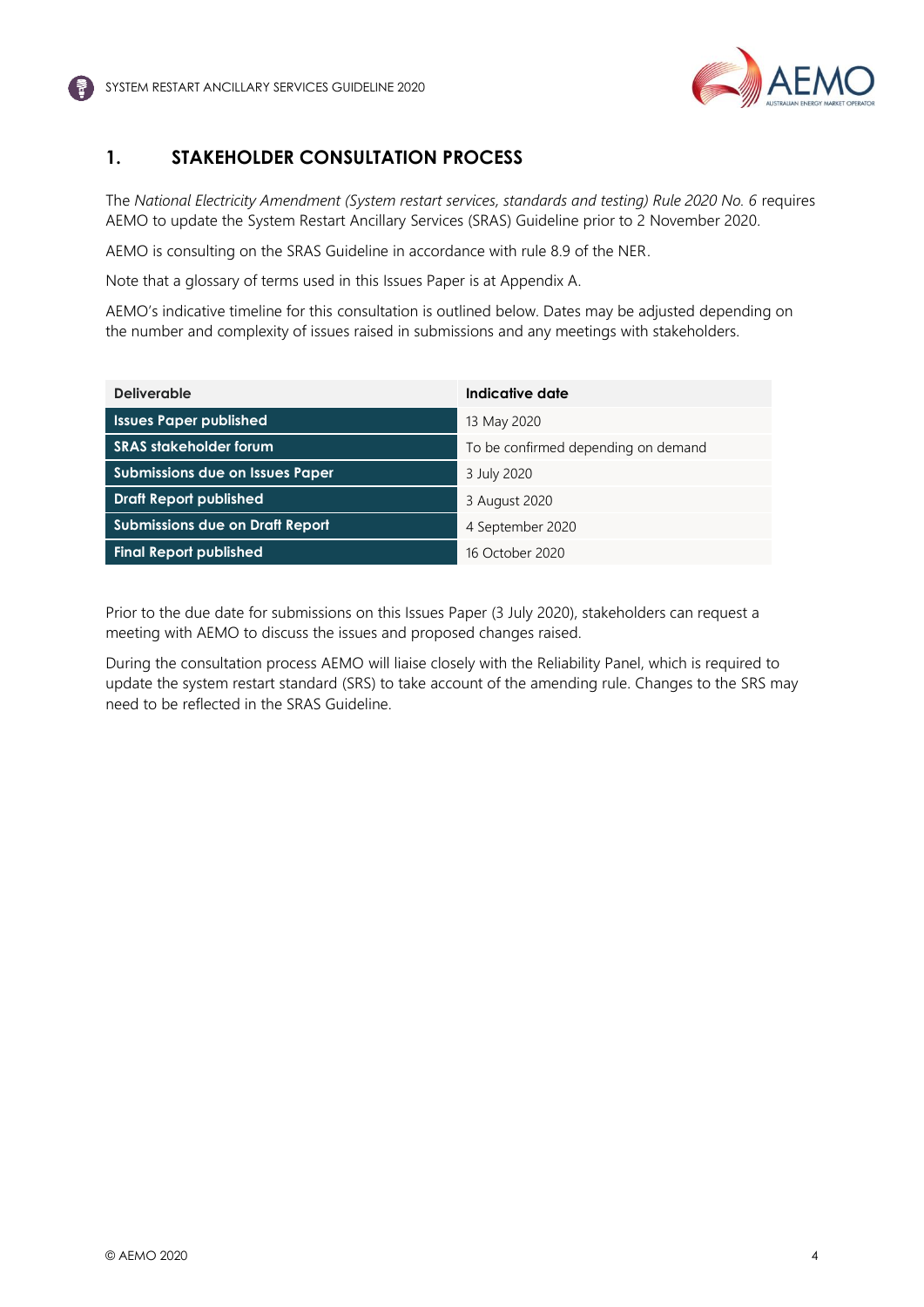

## <span id="page-4-0"></span>**1. STAKEHOLDER CONSULTATION PROCESS**

The *National Electricity Amendment (System restart services, standards and testing) Rule 2020 No. 6* requires AEMO to update the System Restart Ancillary Services (SRAS) Guideline prior to 2 November 2020.

AEMO is consulting on the SRAS Guideline in accordance with rule 8.9 of the NER.

Note that a glossary of terms used in this Issues Paper is at Appendix A.

AEMO's indicative timeline for this consultation is outlined below. Dates may be adjusted depending on the number and complexity of issues raised in submissions and any meetings with stakeholders.

| <b>Deliverable</b>                     | Indicative date                     |  |
|----------------------------------------|-------------------------------------|--|
| <b>Issues Paper published</b>          | 13 May 2020                         |  |
| <b>SRAS</b> stakeholder forum          | To be confirmed depending on demand |  |
| Submissions due on Issues Paper        | 3 July 2020                         |  |
| <b>Draft Report published</b>          | 3 August 2020                       |  |
| <b>Submissions due on Draft Report</b> | 4 September 2020                    |  |
| <b>Final Report published</b>          | 16 October 2020                     |  |

Prior to the due date for submissions on this Issues Paper (3 July 2020), stakeholders can request a meeting with AEMO to discuss the issues and proposed changes raised.

During the consultation process AEMO will liaise closely with the Reliability Panel, which is required to update the system restart standard (SRS) to take account of the amending rule. Changes to the SRS may need to be reflected in the SRAS Guideline.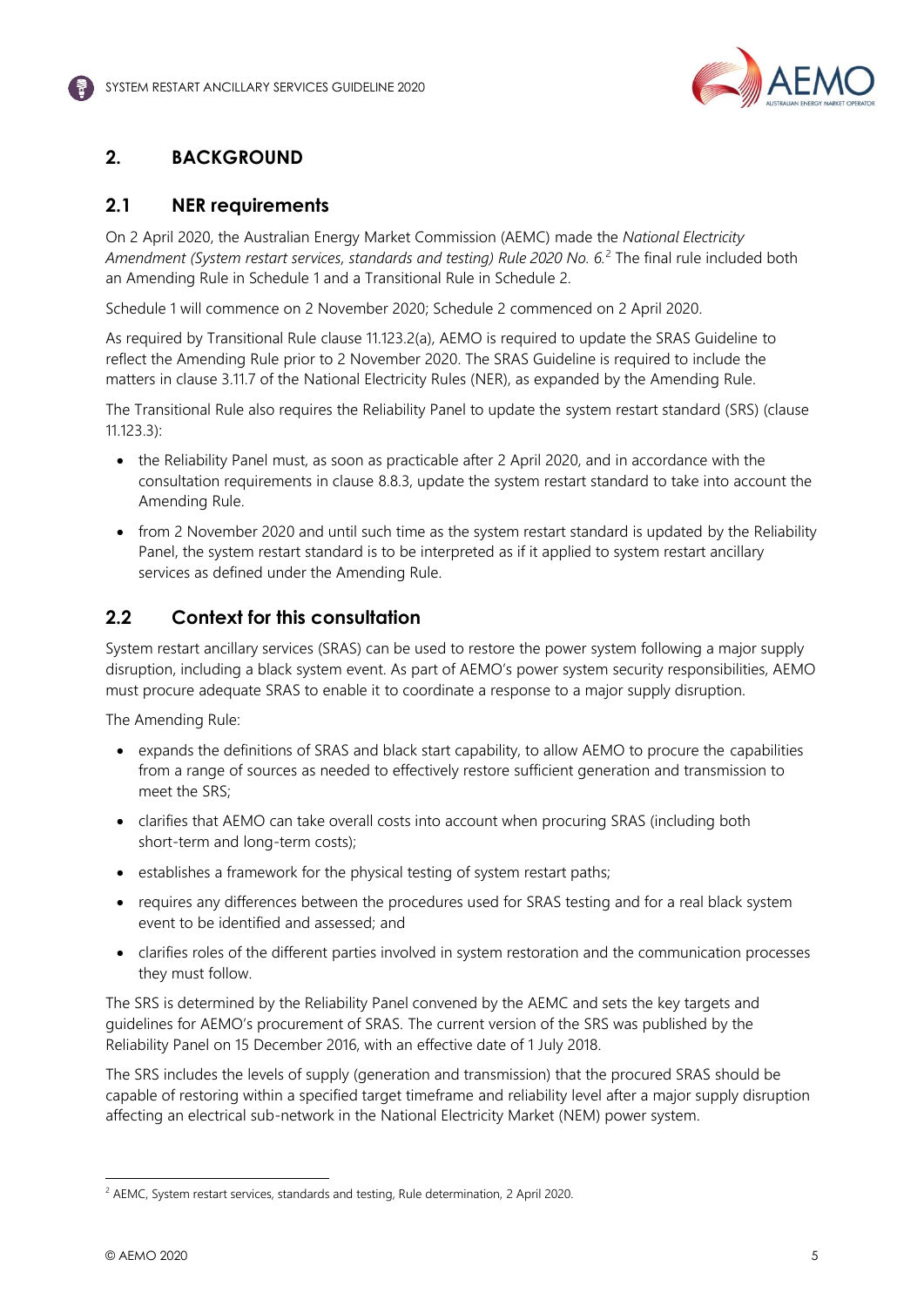

## <span id="page-5-0"></span>**2. BACKGROUND**

## <span id="page-5-1"></span>**2.1 NER requirements**

On 2 April 2020, the Australian Energy Market Commission (AEMC) made the *National Electricity Amendment (System restart services, standards and testing) Rule 2020 No. 6.*<sup>2</sup> The final rule included both an Amending Rule in Schedule 1 and a Transitional Rule in Schedule 2.

Schedule 1 will commence on 2 November 2020; Schedule 2 commenced on 2 April 2020.

As required by Transitional Rule clause 11.123.2(a), AEMO is required to update the SRAS Guideline to reflect the Amending Rule prior to 2 November 2020. The SRAS Guideline is required to include the matters in clause 3.11.7 of the National Electricity Rules (NER), as expanded by the Amending Rule.

The Transitional Rule also requires the Reliability Panel to update the system restart standard (SRS) (clause 11.123.3):

- the Reliability Panel must, as soon as practicable after 2 April 2020, and in accordance with the consultation requirements in clause 8.8.3, update the system restart standard to take into account the Amending Rule.
- from 2 November 2020 and until such time as the system restart standard is updated by the Reliability Panel, the system restart standard is to be interpreted as if it applied to system restart ancillary services as defined under the Amending Rule.

## <span id="page-5-2"></span>**2.2 Context for this consultation**

System restart ancillary services (SRAS) can be used to restore the power system following a major supply disruption, including a black system event. As part of AEMO's power system security responsibilities, AEMO must procure adequate SRAS to enable it to coordinate a response to a major supply disruption.

The Amending Rule:

- expands the definitions of SRAS and black start capability, to allow AEMO to procure the capabilities from a range of sources as needed to effectively restore sufficient generation and transmission to meet the SRS;
- clarifies that AEMO can take overall costs into account when procuring SRAS (including both short-term and long-term costs);
- establishes a framework for the physical testing of system restart paths;
- requires any differences between the procedures used for SRAS testing and for a real black system event to be identified and assessed; and
- clarifies roles of the different parties involved in system restoration and the communication processes they must follow.

The SRS is determined by the Reliability Panel convened by the AEMC and sets the key targets and guidelines for AEMO's procurement of SRAS. The current version of the SRS was published by the Reliability Panel on 15 December 2016, with an effective date of 1 July 2018.

The SRS includes the levels of supply (generation and transmission) that the procured SRAS should be capable of restoring within a specified target timeframe and reliability level after a major supply disruption affecting an electrical sub-network in the National Electricity Market (NEM) power system.

<sup>&</sup>lt;sup>2</sup> AEMC, System restart services, standards and testing, Rule determination, 2 April 2020.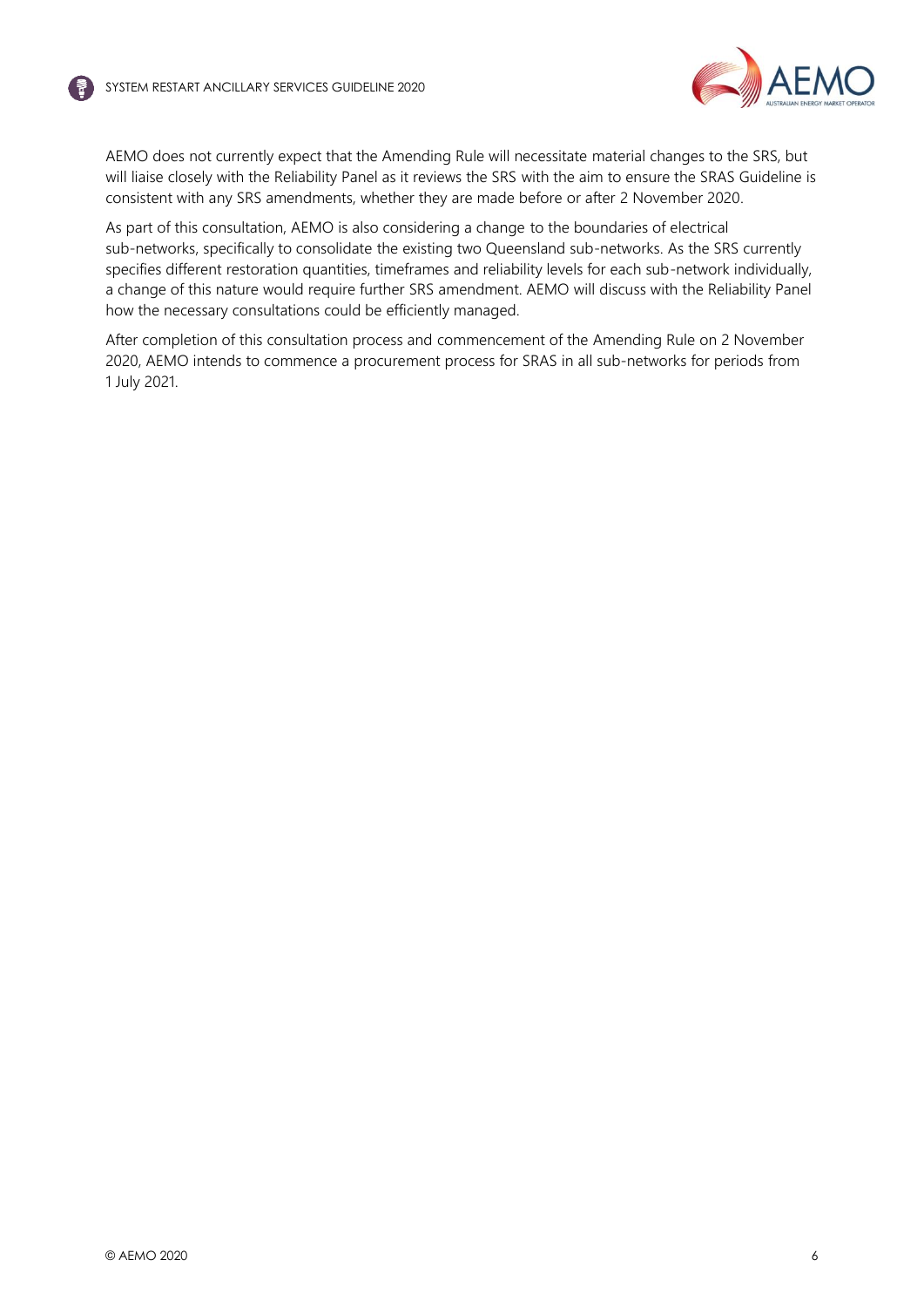

AEMO does not currently expect that the Amending Rule will necessitate material changes to the SRS, but will liaise closely with the Reliability Panel as it reviews the SRS with the aim to ensure the SRAS Guideline is consistent with any SRS amendments, whether they are made before or after 2 November 2020.

As part of this consultation, AEMO is also considering a change to the boundaries of electrical sub-networks, specifically to consolidate the existing two Queensland sub-networks. As the SRS currently specifies different restoration quantities, timeframes and reliability levels for each sub-network individually, a change of this nature would require further SRS amendment. AEMO will discuss with the Reliability Panel how the necessary consultations could be efficiently managed.

After completion of this consultation process and commencement of the Amending Rule on 2 November 2020, AEMO intends to commence a procurement process for SRAS in all sub-networks for periods from 1 July 2021.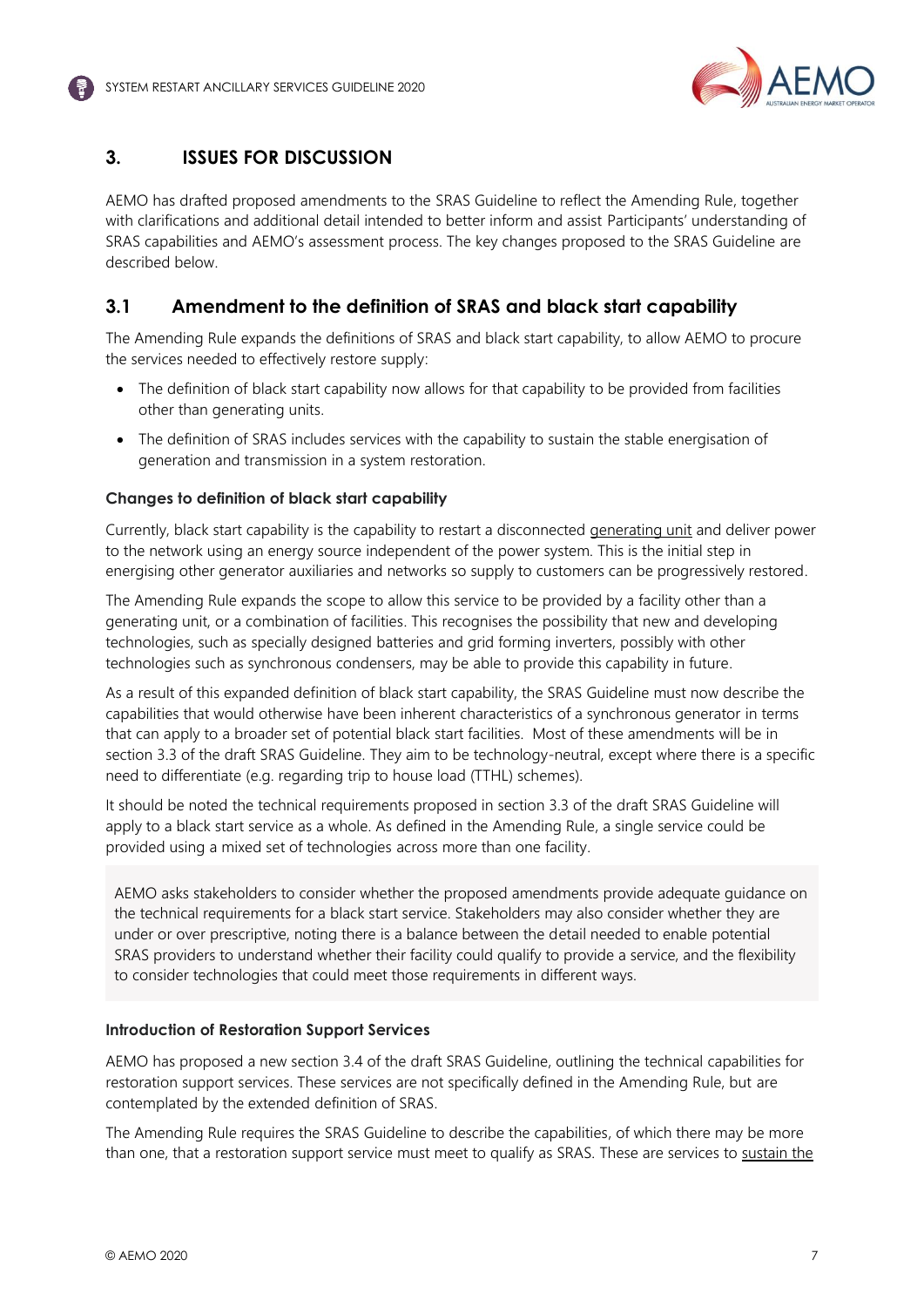

## <span id="page-7-0"></span>**3. ISSUES FOR DISCUSSION**

AEMO has drafted proposed amendments to the SRAS Guideline to reflect the Amending Rule, together with clarifications and additional detail intended to better inform and assist Participants' understanding of SRAS capabilities and AEMO's assessment process. The key changes proposed to the SRAS Guideline are described below.

## <span id="page-7-1"></span>**3.1 Amendment to the definition of SRAS and black start capability**

The Amending Rule expands the definitions of SRAS and black start capability, to allow AEMO to procure the services needed to effectively restore supply:

- The definition of black start capability now allows for that capability to be provided from facilities other than generating units.
- The definition of SRAS includes services with the capability to sustain the stable energisation of generation and transmission in a system restoration.

#### **Changes to definition of black start capability**

Currently, black start capability is the capability to restart a disconnected generating unit and deliver power to the network using an energy source independent of the power system. This is the initial step in energising other generator auxiliaries and networks so supply to customers can be progressively restored.

The Amending Rule expands the scope to allow this service to be provided by a facility other than a generating unit, or a combination of facilities. This recognises the possibility that new and developing technologies, such as specially designed batteries and grid forming inverters, possibly with other technologies such as synchronous condensers, may be able to provide this capability in future.

As a result of this expanded definition of black start capability, the SRAS Guideline must now describe the capabilities that would otherwise have been inherent characteristics of a synchronous generator in terms that can apply to a broader set of potential black start facilities. Most of these amendments will be in section 3.3 of the draft SRAS Guideline. They aim to be technology-neutral, except where there is a specific need to differentiate (e.g. regarding trip to house load (TTHL) schemes).

It should be noted the technical requirements proposed in section 3.3 of the draft SRAS Guideline will apply to a black start service as a whole. As defined in the Amending Rule, a single service could be provided using a mixed set of technologies across more than one facility.

AEMO asks stakeholders to consider whether the proposed amendments provide adequate guidance on the technical requirements for a black start service. Stakeholders may also consider whether they are under or over prescriptive, noting there is a balance between the detail needed to enable potential SRAS providers to understand whether their facility could qualify to provide a service, and the flexibility to consider technologies that could meet those requirements in different ways.

#### **Introduction of Restoration Support Services**

AEMO has proposed a new section 3.4 of the draft SRAS Guideline, outlining the technical capabilities for restoration support services. These services are not specifically defined in the Amending Rule, but are contemplated by the extended definition of SRAS.

The Amending Rule requires the SRAS Guideline to describe the capabilities, of which there may be more than one, that a restoration support service must meet to qualify as SRAS. These are services to sustain the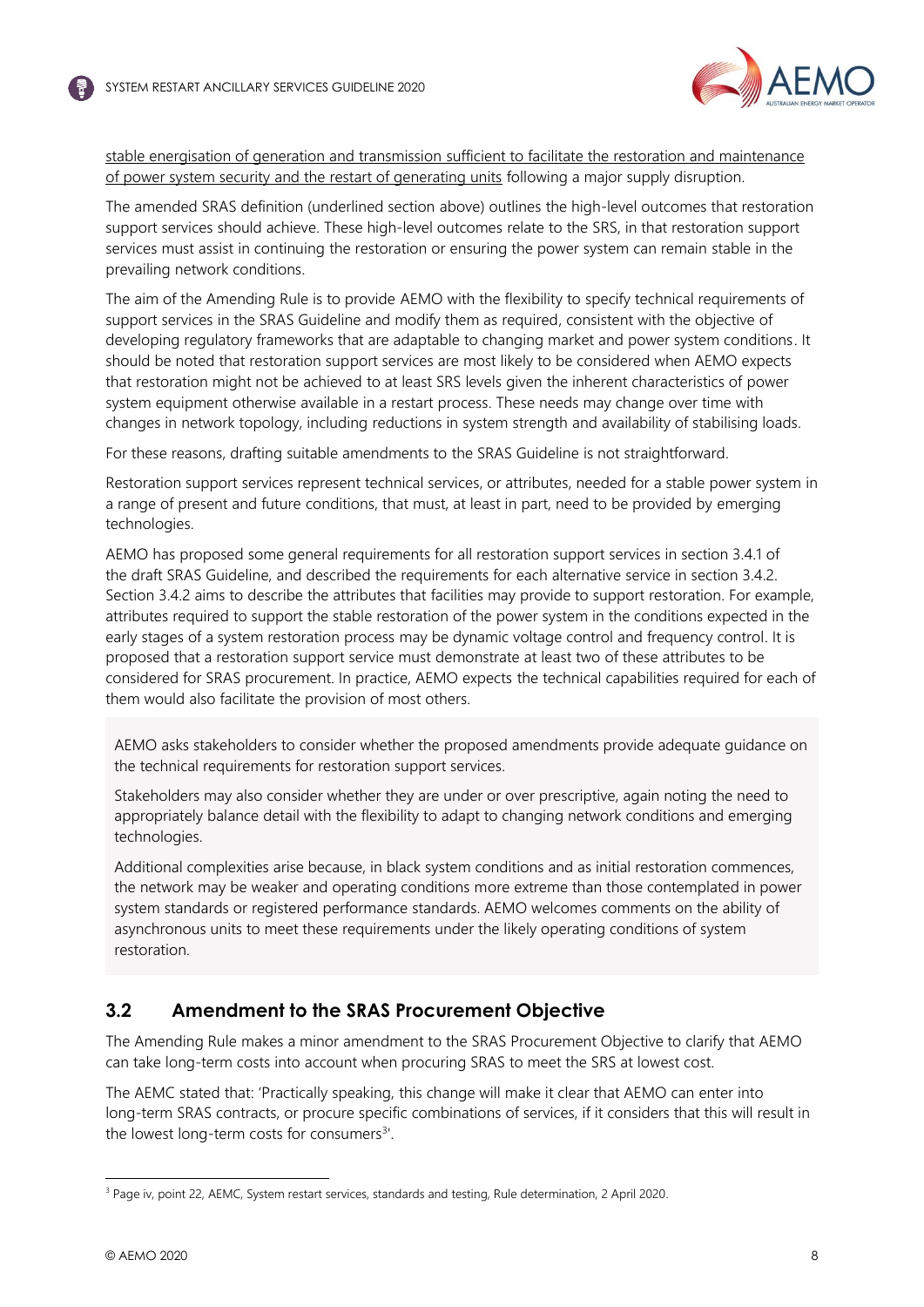

stable energisation of generation and transmission sufficient to facilitate the restoration and maintenance of power system security and the restart of generating units following a major supply disruption.

The amended SRAS definition (underlined section above) outlines the high-level outcomes that restoration support services should achieve. These high-level outcomes relate to the SRS, in that restoration support services must assist in continuing the restoration or ensuring the power system can remain stable in the prevailing network conditions.

The aim of the Amending Rule is to provide AEMO with the flexibility to specify technical requirements of support services in the SRAS Guideline and modify them as required, consistent with the objective of developing regulatory frameworks that are adaptable to changing market and power system conditions. It should be noted that restoration support services are most likely to be considered when AEMO expects that restoration might not be achieved to at least SRS levels given the inherent characteristics of power system equipment otherwise available in a restart process. These needs may change over time with changes in network topology, including reductions in system strength and availability of stabilising loads.

For these reasons, drafting suitable amendments to the SRAS Guideline is not straightforward.

Restoration support services represent technical services, or attributes, needed for a stable power system in a range of present and future conditions, that must, at least in part, need to be provided by emerging technologies.

AEMO has proposed some general requirements for all restoration support services in section 3.4.1 of the draft SRAS Guideline, and described the requirements for each alternative service in section 3.4.2. Section 3.4.2 aims to describe the attributes that facilities may provide to support restoration. For example, attributes required to support the stable restoration of the power system in the conditions expected in the early stages of a system restoration process may be dynamic voltage control and frequency control. It is proposed that a restoration support service must demonstrate at least two of these attributes to be considered for SRAS procurement. In practice, AEMO expects the technical capabilities required for each of them would also facilitate the provision of most others.

AEMO asks stakeholders to consider whether the proposed amendments provide adequate guidance on the technical requirements for restoration support services.

Stakeholders may also consider whether they are under or over prescriptive, again noting the need to appropriately balance detail with the flexibility to adapt to changing network conditions and emerging technologies.

Additional complexities arise because, in black system conditions and as initial restoration commences, the network may be weaker and operating conditions more extreme than those contemplated in power system standards or registered performance standards. AEMO welcomes comments on the ability of asynchronous units to meet these requirements under the likely operating conditions of system restoration.

## <span id="page-8-0"></span>**3.2 Amendment to the SRAS Procurement Objective**

The Amending Rule makes a minor amendment to the SRAS Procurement Objective to clarify that AEMO can take long-term costs into account when procuring SRAS to meet the SRS at lowest cost.

The AEMC stated that: 'Practically speaking, this change will make it clear that AEMO can enter into long-term SRAS contracts, or procure specific combinations of services, if it considers that this will result in the lowest long-term costs for consumers<sup>3'</sup>.

<sup>&</sup>lt;sup>3</sup> Page iv, point 22, AEMC, System restart services, standards and testing, Rule determination, 2 April 2020.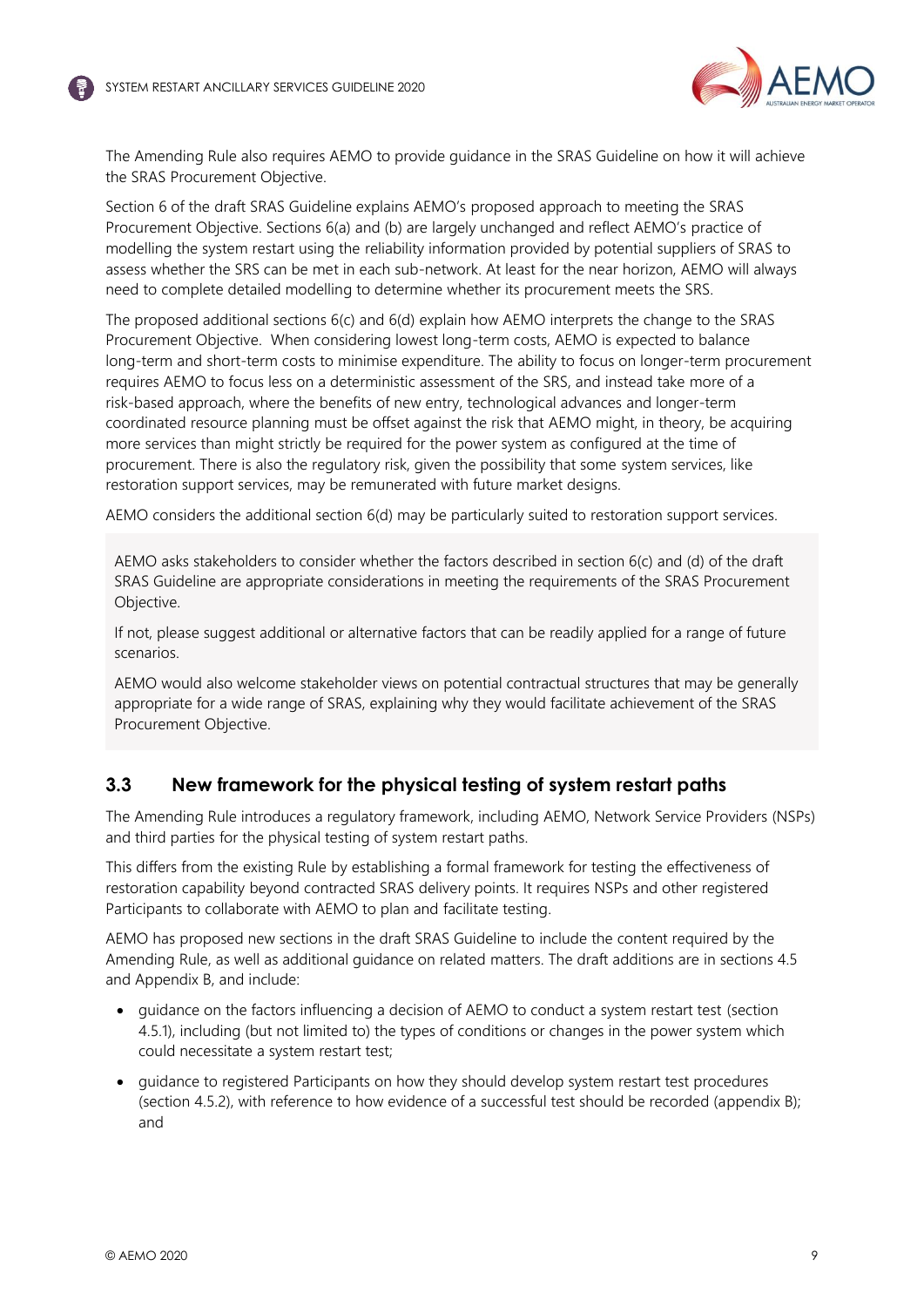

The Amending Rule also requires AEMO to provide guidance in the SRAS Guideline on how it will achieve the SRAS Procurement Objective.

Section 6 of the draft SRAS Guideline explains AEMO's proposed approach to meeting the SRAS Procurement Objective. Sections 6(a) and (b) are largely unchanged and reflect AEMO's practice of modelling the system restart using the reliability information provided by potential suppliers of SRAS to assess whether the SRS can be met in each sub-network. At least for the near horizon, AEMO will always need to complete detailed modelling to determine whether its procurement meets the SRS.

The proposed additional sections 6(c) and 6(d) explain how AEMO interprets the change to the SRAS Procurement Objective. When considering lowest long-term costs, AEMO is expected to balance long-term and short-term costs to minimise expenditure. The ability to focus on longer-term procurement requires AEMO to focus less on a deterministic assessment of the SRS, and instead take more of a risk-based approach, where the benefits of new entry, technological advances and longer-term coordinated resource planning must be offset against the risk that AEMO might, in theory, be acquiring more services than might strictly be required for the power system as configured at the time of procurement. There is also the regulatory risk, given the possibility that some system services, like restoration support services, may be remunerated with future market designs.

AEMO considers the additional section 6(d) may be particularly suited to restoration support services.

AEMO asks stakeholders to consider whether the factors described in section 6(c) and (d) of the draft SRAS Guideline are appropriate considerations in meeting the requirements of the SRAS Procurement Objective.

If not, please suggest additional or alternative factors that can be readily applied for a range of future scenarios.

AEMO would also welcome stakeholder views on potential contractual structures that may be generally appropriate for a wide range of SRAS, explaining why they would facilitate achievement of the SRAS Procurement Objective.

### <span id="page-9-0"></span>**3.3 New framework for the physical testing of system restart paths**

The Amending Rule introduces a regulatory framework, including AEMO, Network Service Providers (NSPs) and third parties for the physical testing of system restart paths.

This differs from the existing Rule by establishing a formal framework for testing the effectiveness of restoration capability beyond contracted SRAS delivery points. It requires NSPs and other registered Participants to collaborate with AEMO to plan and facilitate testing.

AEMO has proposed new sections in the draft SRAS Guideline to include the content required by the Amending Rule, as well as additional guidance on related matters. The draft additions are in sections 4.5 and Appendix B, and include:

- guidance on the factors influencing a decision of AEMO to conduct a system restart test (section 4.5.1), including (but not limited to) the types of conditions or changes in the power system which could necessitate a system restart test;
- guidance to registered Participants on how they should develop system restart test procedures (section 4.5.2), with reference to how evidence of a successful test should be recorded (appendix B); and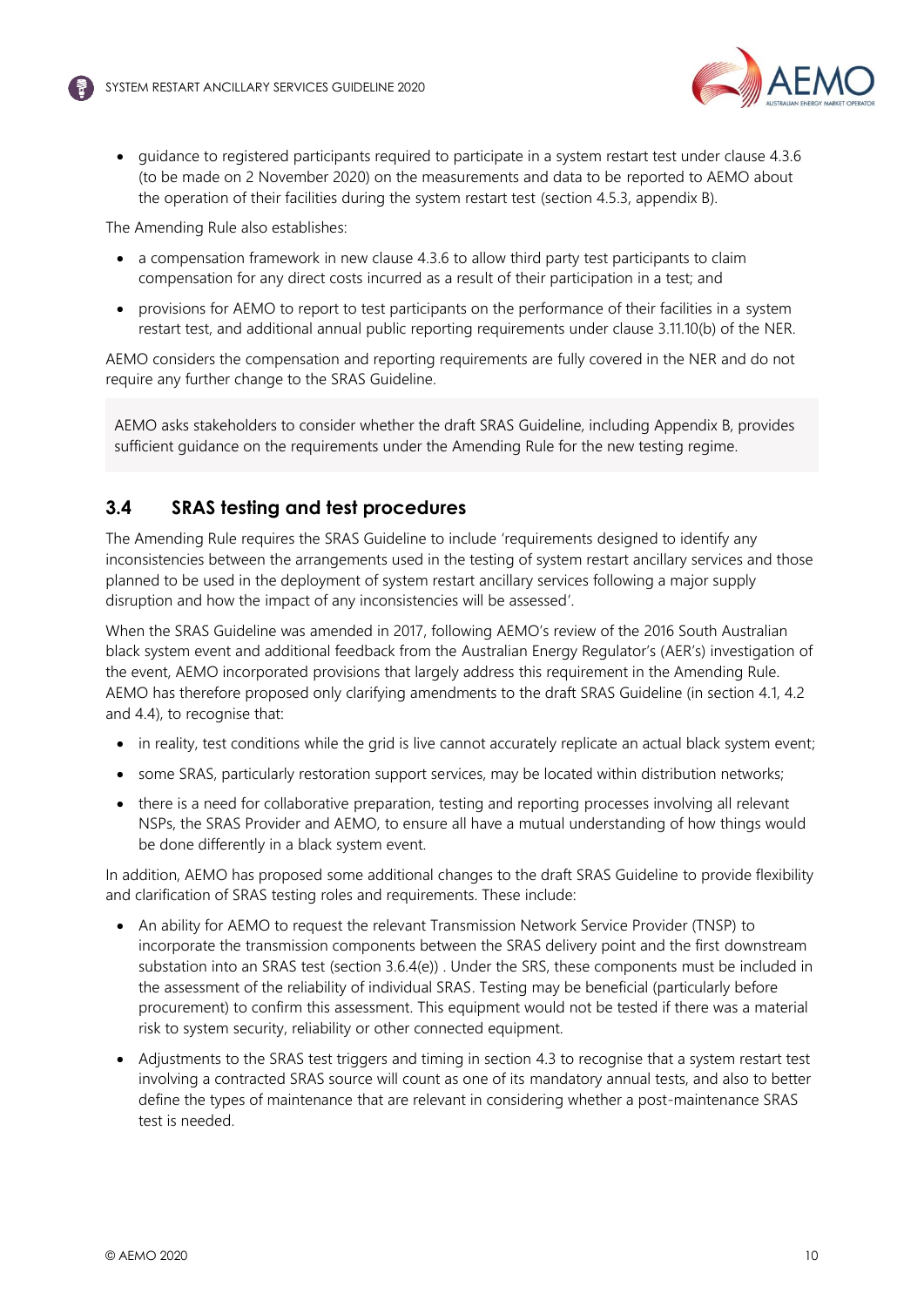

• guidance to registered participants required to participate in a system restart test under clause 4.3.6 (to be made on 2 November 2020) on the measurements and data to be reported to AEMO about the operation of their facilities during the system restart test (section 4.5.3, appendix B).

The Amending Rule also establishes:

- a compensation framework in new clause 4.3.6 to allow third party test participants to claim compensation for any direct costs incurred as a result of their participation in a test; and
- provisions for AEMO to report to test participants on the performance of their facilities in a system restart test, and additional annual public reporting requirements under clause 3.11.10(b) of the NER.

AEMO considers the compensation and reporting requirements are fully covered in the NER and do not require any further change to the SRAS Guideline.

AEMO asks stakeholders to consider whether the draft SRAS Guideline, including Appendix B, provides sufficient guidance on the requirements under the Amending Rule for the new testing regime.

## <span id="page-10-0"></span>**3.4 SRAS testing and test procedures**

The Amending Rule requires the SRAS Guideline to include 'requirements designed to identify any inconsistencies between the arrangements used in the testing of system restart ancillary services and those planned to be used in the deployment of system restart ancillary services following a major supply disruption and how the impact of any inconsistencies will be assessed'.

When the SRAS Guideline was amended in 2017, following AEMO's review of the 2016 South Australian black system event and additional feedback from the Australian Energy Regulator's (AER's) investigation of the event, AEMO incorporated provisions that largely address this requirement in the Amending Rule. AEMO has therefore proposed only clarifying amendments to the draft SRAS Guideline (in section 4.1, 4.2 and 4.4), to recognise that:

- in reality, test conditions while the grid is live cannot accurately replicate an actual black system event;
- some SRAS, particularly restoration support services, may be located within distribution networks;
- there is a need for collaborative preparation, testing and reporting processes involving all relevant NSPs, the SRAS Provider and AEMO, to ensure all have a mutual understanding of how things would be done differently in a black system event.

In addition, AEMO has proposed some additional changes to the draft SRAS Guideline to provide flexibility and clarification of SRAS testing roles and requirements. These include:

- An ability for AEMO to request the relevant Transmission Network Service Provider (TNSP) to incorporate the transmission components between the SRAS delivery point and the first downstream substation into an SRAS test (section 3.6.4(e)) . Under the SRS, these components must be included in the assessment of the reliability of individual SRAS. Testing may be beneficial (particularly before procurement) to confirm this assessment. This equipment would not be tested if there was a material risk to system security, reliability or other connected equipment.
- Adjustments to the SRAS test triggers and timing in section 4.3 to recognise that a system restart test involving a contracted SRAS source will count as one of its mandatory annual tests, and also to better define the types of maintenance that are relevant in considering whether a post-maintenance SRAS test is needed.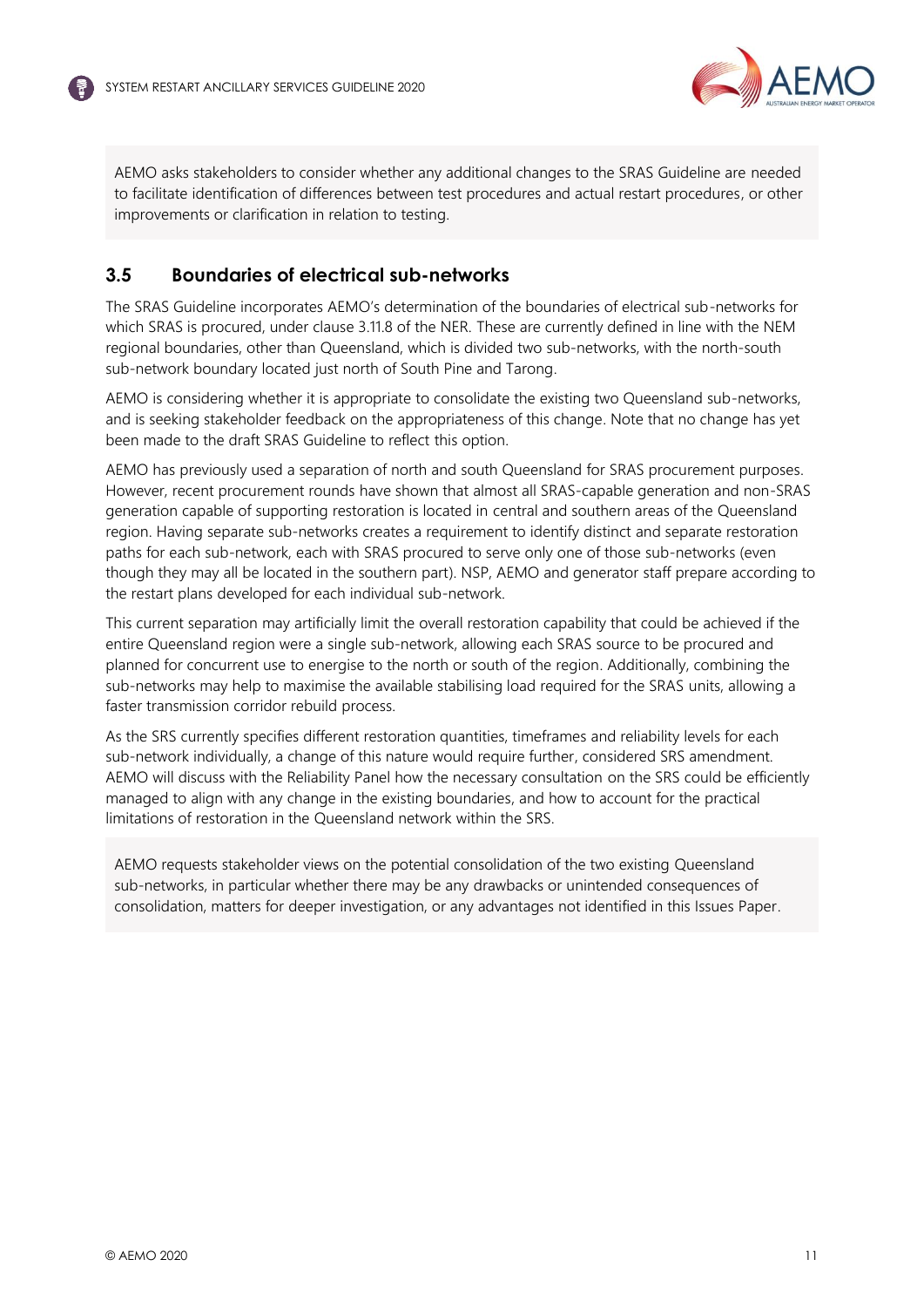

AEMO asks stakeholders to consider whether any additional changes to the SRAS Guideline are needed to facilitate identification of differences between test procedures and actual restart procedures, or other improvements or clarification in relation to testing.

## <span id="page-11-0"></span>**3.5 Boundaries of electrical sub-networks**

The SRAS Guideline incorporates AEMO's determination of the boundaries of electrical sub-networks for which SRAS is procured, under clause 3.11.8 of the NER. These are currently defined in line with the NEM regional boundaries, other than Queensland, which is divided two sub-networks, with the north-south sub-network boundary located just north of South Pine and Tarong.

AEMO is considering whether it is appropriate to consolidate the existing two Queensland sub-networks, and is seeking stakeholder feedback on the appropriateness of this change. Note that no change has yet been made to the draft SRAS Guideline to reflect this option.

AEMO has previously used a separation of north and south Queensland for SRAS procurement purposes. However, recent procurement rounds have shown that almost all SRAS-capable generation and non-SRAS generation capable of supporting restoration is located in central and southern areas of the Queensland region. Having separate sub-networks creates a requirement to identify distinct and separate restoration paths for each sub-network, each with SRAS procured to serve only one of those sub-networks (even though they may all be located in the southern part). NSP, AEMO and generator staff prepare according to the restart plans developed for each individual sub-network.

This current separation may artificially limit the overall restoration capability that could be achieved if the entire Queensland region were a single sub-network, allowing each SRAS source to be procured and planned for concurrent use to energise to the north or south of the region. Additionally, combining the sub-networks may help to maximise the available stabilising load required for the SRAS units, allowing a faster transmission corridor rebuild process.

As the SRS currently specifies different restoration quantities, timeframes and reliability levels for each sub-network individually, a change of this nature would require further, considered SRS amendment. AEMO will discuss with the Reliability Panel how the necessary consultation on the SRS could be efficiently managed to align with any change in the existing boundaries, and how to account for the practical limitations of restoration in the Queensland network within the SRS.

AEMO requests stakeholder views on the potential consolidation of the two existing Queensland sub-networks, in particular whether there may be any drawbacks or unintended consequences of consolidation, matters for deeper investigation, or any advantages not identified in this Issues Paper.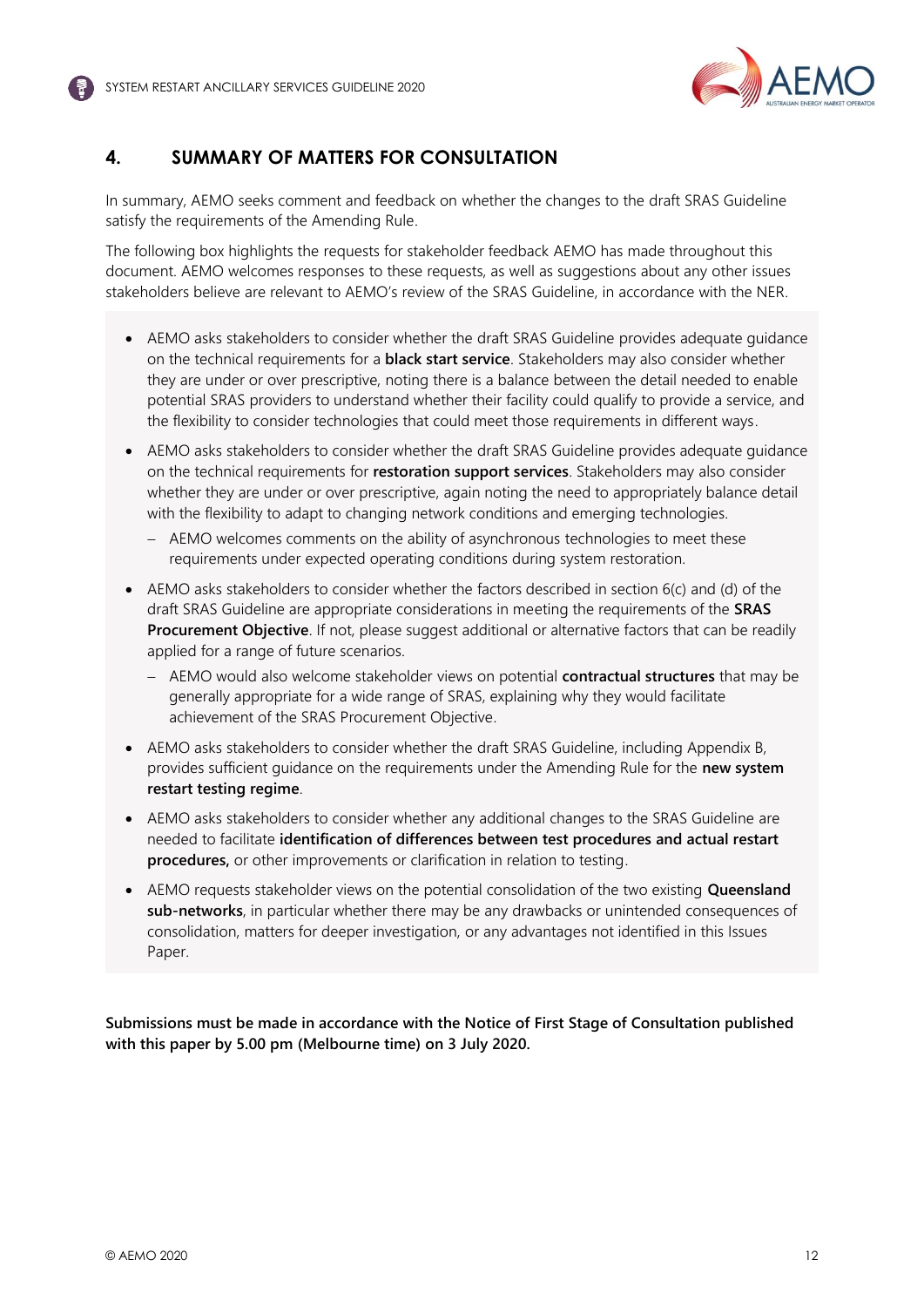

## <span id="page-12-0"></span>**4. SUMMARY OF MATTERS FOR CONSULTATION**

In summary, AEMO seeks comment and feedback on whether the changes to the draft SRAS Guideline satisfy the requirements of the Amending Rule.

The following box highlights the requests for stakeholder feedback AEMO has made throughout this document. AEMO welcomes responses to these requests, as well as suggestions about any other issues stakeholders believe are relevant to AEMO's review of the SRAS Guideline, in accordance with the NER.

- AEMO asks stakeholders to consider whether the draft SRAS Guideline provides adequate guidance on the technical requirements for a **black start service**. Stakeholders may also consider whether they are under or over prescriptive, noting there is a balance between the detail needed to enable potential SRAS providers to understand whether their facility could qualify to provide a service, and the flexibility to consider technologies that could meet those requirements in different ways.
- AEMO asks stakeholders to consider whether the draft SRAS Guideline provides adequate guidance on the technical requirements for **restoration support services**. Stakeholders may also consider whether they are under or over prescriptive, again noting the need to appropriately balance detail with the flexibility to adapt to changing network conditions and emerging technologies.
	- − AEMO welcomes comments on the ability of asynchronous technologies to meet these requirements under expected operating conditions during system restoration.
- AEMO asks stakeholders to consider whether the factors described in section 6(c) and (d) of the draft SRAS Guideline are appropriate considerations in meeting the requirements of the **SRAS Procurement Objective**. If not, please suggest additional or alternative factors that can be readily applied for a range of future scenarios.
	- − AEMO would also welcome stakeholder views on potential **contractual structures** that may be generally appropriate for a wide range of SRAS, explaining why they would facilitate achievement of the SRAS Procurement Objective.
- AEMO asks stakeholders to consider whether the draft SRAS Guideline, including Appendix B, provides sufficient guidance on the requirements under the Amending Rule for the **new system restart testing regime**.
- AEMO asks stakeholders to consider whether any additional changes to the SRAS Guideline are needed to facilitate **identification of differences between test procedures and actual restart procedures,** or other improvements or clarification in relation to testing.
- AEMO requests stakeholder views on the potential consolidation of the two existing **Queensland sub-networks**, in particular whether there may be any drawbacks or unintended consequences of consolidation, matters for deeper investigation, or any advantages not identified in this Issues Paper.

**Submissions must be made in accordance with the Notice of First Stage of Consultation published with this paper by 5.00 pm (Melbourne time) on 3 July 2020.**